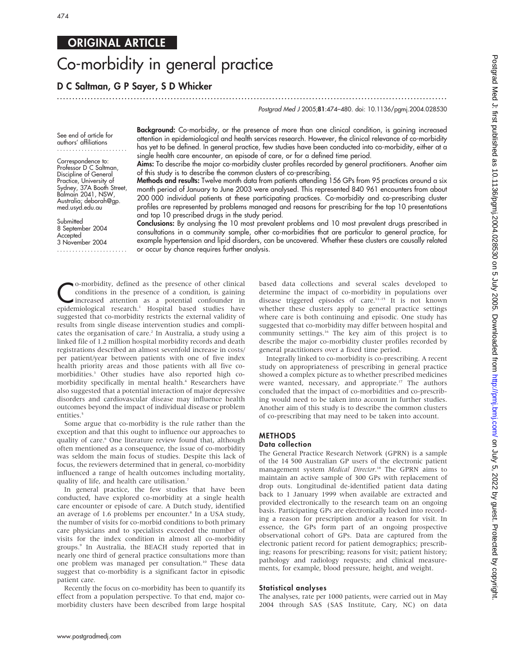## ORIGINAL ARTICLE

# Co-morbidity in general practice

### D C Saltman, G P Sayer, S D Whicker

Postgrad Med J 2005;81:474-480. doi: 10.1136/pgmj.2004.028530

See end of article for authors' affiliations .......................

Correspondence to: Professor D C Saltman, Discipline of General Practice, University of Sydney, 37A Booth Street, Balmain 2041, NSW, Australia; deborah@gp. med.usyd.edu.au

Submitted 8 September 2004 Accepted 3 November 2004 ....................... Background: Co-morbidity, or the presence of more than one clinical condition, is gaining increased attention in epidemiological and health services research. However, the clinical relevance of co-morbidity has yet to be defined. In general practice, few studies have been conducted into co-morbidity, either at a single health care encounter, an episode of care, or for a defined time period.

...............................................................................................................................

Aims: To describe the major co-morbidity cluster profiles recorded by general practitioners. Another aim of this study is to describe the common clusters of co-prescribing.

Methods and results: Twelve month data from patients attending 156 GPs from 95 practices around a six month period of January to June 2003 were analysed. This represented 840 961 encounters from about 200 000 individual patients at these participating practices. Co-morbidity and co-prescribing cluster profiles are represented by problems managed and reasons for prescribing for the top 10 presentations and top 10 prescribed drugs in the study period.

Conclusions: By analysing the 10 most prevalent problems and 10 most prevalent drugs prescribed in consultations in a community sample, other co-morbidities that are particular to general practice, for example hypertension and lipid disorders, can be uncovered. Whether these clusters are causally related or occur by chance requires further analysis.

Co-morbidity, defined as the presence of other clinical<br>conditions in the presence of a condition, is gaining<br>increased attention as a potential confounder in<br>enidemiological research<sup>1</sup> Hospital based studies baye conditions in the presence of a condition, is gaining epidemiological research.<sup>1</sup> Hospital based studies have suggested that co-morbidity restricts the external validity of results from single disease intervention studies and complicates the organisation of care.<sup>2</sup> In Australia, a study using a linked file of 1.2 million hospital morbidity records and death registrations described an almost sevenfold increase in costs/ per patient/year between patients with one of five index health priority areas and those patients with all five comorbidities.3 Other studies have also reported high comorbidity specifically in mental health.<sup>4</sup> Researchers have also suggested that a potential interaction of major depressive disorders and cardiovascular disease may influence health outcomes beyond the impact of individual disease or problem entities.<sup>5</sup>

Some argue that co-morbidity is the rule rather than the exception and that this ought to influence our approaches to quality of care.<sup>6</sup> One literature review found that, although often mentioned as a consequence, the issue of co-morbidity was seldom the main focus of studies. Despite this lack of focus, the reviewers determined that in general, co-morbidity influenced a range of health outcomes including mortality, quality of life, and health care utilisation.<sup>7</sup>

In general practice, the few studies that have been conducted, have explored co-morbidity at a single health care encounter or episode of care. A Dutch study, identified an average of 1.6 problems per encounter.<sup>8</sup> In a USA study, the number of visits for co-morbid conditions to both primary care physicians and to specialists exceeded the number of visits for the index condition in almost all co-morbidity groups.9 In Australia, the BEACH study reported that in nearly one third of general practice consultations more than one problem was managed per consultation.<sup>10</sup> These data suggest that co-morbidity is a significant factor in episodic patient care.

Recently the focus on co-morbidity has been to quantify its effect from a population perspective. To that end, major comorbidity clusters have been described from large hospital based data collections and several scales developed to determine the impact of co-morbidity in populations over disease triggered episodes of care.11–15 It is not known whether these clusters apply to general practice settings where care is both continuing and episodic. One study has suggested that co-morbidity may differ between hospital and community settings.16 The key aim of this project is to describe the major co-morbidity cluster profiles recorded by general practitioners over a fixed time period.

Integrally linked to co-morbidity is co-prescribing. A recent study on appropriateness of prescribing in general practice showed a complex picture as to whether prescribed medicines were wanted, necessary, and appropriate.<sup>17</sup> The authors concluded that the impact of co-morbidities and co-prescribing would need to be taken into account in further studies. Another aim of this study is to describe the common clusters of co-prescribing that may need to be taken into account.

#### METHODS Data collection

The General Practice Research Network (GPRN) is a sample of the 14 500 Australian GP users of the electronic patient management system Medical Director.<sup>18</sup> The GPRN aims to maintain an active sample of 300 GPs with replacement of drop outs. Longitudinal de-identified patient data dating back to 1 January 1999 when available are extracted and provided electronically to the research team on an ongoing basis. Participating GPs are electronically locked into recording a reason for prescription and/or a reason for visit. In essence, the GPs form part of an ongoing prospective observational cohort of GPs. Data are captured from the electronic patient record for patient demographics; prescribing; reasons for prescribing; reasons for visit; patient history; pathology and radiology requests; and clinical measurements, for example, blood pressure, height, and weight.

#### Statistical analyses

The analyses, rate per 1000 patients, were carried out in May 2004 through SAS (SAS Institute, Cary, NC) on data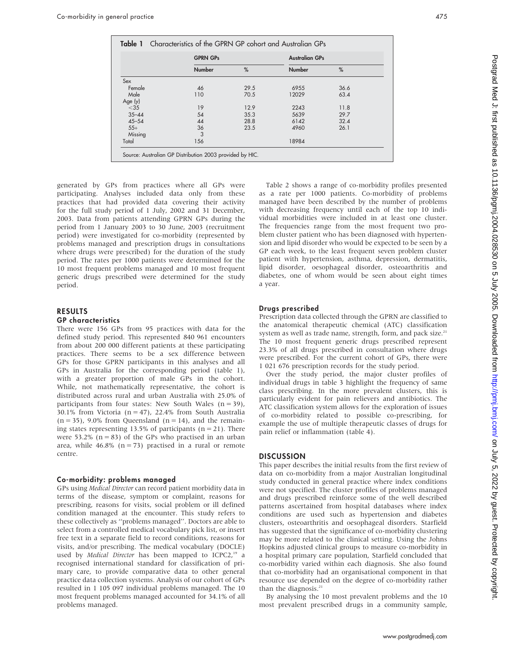|           | <b>GPRN GPs</b> |      | <b>Australian GPs</b> |      |
|-----------|-----------------|------|-----------------------|------|
|           | <b>Number</b>   | %    | <b>Number</b>         | %    |
| Sex       |                 |      |                       |      |
| Female    | 46              | 29.5 | 6955                  | 36.6 |
| Male      | 110             | 70.5 | 12029                 | 63.4 |
| Age (y)   |                 |      |                       |      |
| $<$ 35    | 19              | 12.9 | 2243                  | 11.8 |
| $35 - 44$ | 54              | 35.3 | 5639                  | 29.7 |
| $45 - 54$ | 44              | 28.8 | 6142                  | 32.4 |
| $55+$     | 36              | 23.5 | 4960                  | 26.1 |
| Missing   | 3               |      |                       |      |
| Total     | 156             |      | 18984                 |      |

generated by GPs from practices where all GPs were participating. Analyses included data only from these practices that had provided data covering their activity for the full study period of 1 July, 2002 and 31 December, 2003. Data from patients attending GPRN GPs during the period from 1 January 2003 to 30 June, 2003 (recruitment period) were investigated for co-morbidity (represented by problems managed and prescription drugs in consultations where drugs were prescribed) for the duration of the study period. The rates per 1000 patients were determined for the 10 most frequent problems managed and 10 most frequent generic drugs prescribed were determined for the study period.

#### RESULTS

#### GP characteristics

There were 156 GPs from 95 practices with data for the defined study period. This represented 840 961 encounters from about 200 000 different patients at these participating practices. There seems to be a sex difference between GPs for those GPRN participants in this analyses and all GPs in Australia for the corresponding period (table 1), with a greater proportion of male GPs in the cohort. While, not mathematically representative, the cohort is distributed across rural and urban Australia with 25.0% of participants from four states: New South Wales  $(n = 39)$ , 30.1% from Victoria ( $n = 47$ ), 22.4% from South Australia  $(n = 35)$ , 9.0% from Queensland  $(n = 14)$ , and the remaining states representing 13.5% of participants  $(n = 21)$ . There were 53.2% ( $n = 83$ ) of the GPs who practised in an urban area, while  $46.8\%$  (n = 73) practised in a rural or remote centre.

#### Co-morbidity: problems managed

GPs using Medical Director can record patient morbidity data in terms of the disease, symptom or complaint, reasons for prescribing, reasons for visits, social problem or ill defined condition managed at the encounter. This study refers to these collectively as ''problems managed''. Doctors are able to select from a controlled medical vocabulary pick list, or insert free text in a separate field to record conditions, reasons for visits, and/or prescribing. The medical vocabulary (DOCLE) used by Medical Director has been mapped to ICPC2,<sup>19</sup> a recognised international standard for classification of primary care, to provide comparative data to other general practice data collection systems. Analysis of our cohort of GPs resulted in 1 105 097 individual problems managed. The 10 most frequent problems managed accounted for 34.1% of all problems managed.

Table 2 shows a range of co-morbidity profiles presented as a rate per 1000 patients. Co-morbidity of problems managed have been described by the number of problems with decreasing frequency until each of the top 10 individual morbidities were included in at least one cluster. The frequencies range from the most frequent two problem cluster patient who has been diagnosed with hypertension and lipid disorder who would be expected to be seen by a GP each week, to the least frequent seven problem cluster patient with hypertension, asthma, depression, dermatitis, lipid disorder, oesophageal disorder, osteoarthritis and diabetes, one of whom would be seen about eight times a year.

#### Drugs prescribed

Prescription data collected through the GPRN are classified to the anatomical therapeutic chemical (ATC) classification system as well as trade name, strength, form, and pack size.<sup>21</sup> The 10 most frequent generic drugs prescribed represent 23.3% of all drugs prescribed in consultation where drugs were prescribed. For the current cohort of GPs, there were 1 021 676 prescription records for the study period.

Over the study period, the major cluster profiles of individual drugs in table 3 highlight the frequency of same class prescribing. In the more prevalent clusters, this is particularly evident for pain relievers and antibiotics. The ATC classification system allows for the exploration of issues of co-morbidity related to possible co-prescribing, for example the use of multiple therapeutic classes of drugs for pain relief or inflammation (table 4).

#### **DISCUSSION**

This paper describes the initial results from the first review of data on co-morbidity from a major Australian longitudinal study conducted in general practice where index conditions were not specified. The cluster profiles of problems managed and drugs prescribed reinforce some of the well described patterns ascertained from hospital databases where index conditions are used such as hypertension and diabetes clusters, osteoarthritis and oesophageal disorders. Starfield has suggested that the significance of co-morbidity clustering may be more related to the clinical setting. Using the Johns Hopkins adjusted clinical groups to measure co-morbidity in a hospital primary care population, Starfield concluded that co-morbidity varied within each diagnosis. She also found that co-morbidity had an organisational component in that resource use depended on the degree of co-morbidity rather than the diagnosis.<sup>21</sup>

By analysing the 10 most prevalent problems and the 10 most prevalent prescribed drugs in a community sample,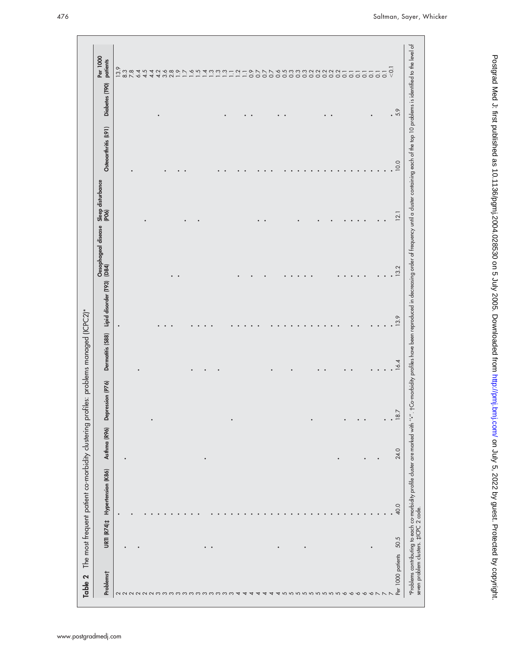| Problems† | <b>URTI (R74)‡</b> | Hypertension (K86) | Asthma (R96) | Depression (P76) | Dermatitis (S88) | Lipid disorder (T93) | Oesophageal disease<br>(D84) | Sleep disturbance<br>(PO6) | Osteoarthritis (L91) | Diabetes (T90) | Per 1000<br>patients                    |
|-----------|--------------------|--------------------|--------------|------------------|------------------|----------------------|------------------------------|----------------------------|----------------------|----------------|-----------------------------------------|
|           |                    |                    |              |                  |                  | $\bullet$            |                              |                            |                      |                |                                         |
|           |                    |                    |              |                  |                  |                      |                              |                            |                      |                | $13.9$<br>8.3                           |
|           |                    |                    |              |                  |                  |                      |                              |                            |                      |                |                                         |
|           |                    |                    |              |                  |                  |                      |                              |                            |                      |                |                                         |
|           |                    |                    |              |                  |                  |                      |                              |                            |                      |                |                                         |
|           |                    |                    |              |                  |                  |                      |                              |                            |                      |                |                                         |
|           |                    |                    |              |                  |                  |                      |                              |                            |                      |                |                                         |
|           |                    |                    |              |                  |                  |                      |                              |                            |                      |                |                                         |
|           |                    |                    |              |                  |                  |                      |                              |                            |                      |                |                                         |
|           |                    |                    |              |                  |                  |                      |                              |                            |                      |                |                                         |
|           |                    |                    |              |                  |                  |                      |                              |                            |                      |                |                                         |
|           |                    |                    |              |                  |                  |                      |                              |                            |                      |                |                                         |
|           |                    |                    |              |                  |                  |                      |                              |                            |                      |                |                                         |
|           |                    |                    |              |                  |                  |                      |                              |                            |                      |                |                                         |
|           |                    |                    |              |                  |                  |                      |                              |                            |                      |                |                                         |
|           |                    |                    |              |                  |                  |                      |                              |                            |                      |                |                                         |
|           |                    |                    |              |                  |                  |                      |                              |                            |                      |                |                                         |
|           |                    |                    |              |                  |                  |                      |                              |                            |                      |                |                                         |
|           |                    |                    |              |                  |                  |                      |                              |                            |                      |                |                                         |
|           |                    |                    |              |                  |                  |                      |                              |                            |                      |                |                                         |
|           |                    |                    |              |                  |                  |                      |                              |                            |                      |                |                                         |
|           |                    |                    |              |                  |                  |                      |                              |                            |                      |                |                                         |
|           |                    |                    |              |                  |                  |                      |                              |                            |                      |                |                                         |
|           |                    |                    |              |                  |                  |                      |                              |                            |                      |                |                                         |
|           |                    |                    |              |                  |                  |                      |                              |                            |                      |                |                                         |
|           |                    |                    |              |                  |                  |                      |                              |                            |                      |                |                                         |
|           |                    |                    |              |                  |                  |                      |                              |                            |                      |                |                                         |
|           |                    |                    |              |                  |                  |                      |                              |                            |                      |                |                                         |
|           |                    |                    |              |                  |                  |                      |                              |                            |                      |                |                                         |
|           |                    |                    |              |                  |                  |                      |                              |                            |                      |                |                                         |
|           |                    |                    |              |                  |                  |                      |                              |                            |                      |                |                                         |
|           |                    |                    |              |                  |                  |                      |                              |                            |                      |                |                                         |
|           |                    |                    |              |                  |                  |                      |                              |                            |                      |                |                                         |
|           |                    |                    |              |                  |                  |                      |                              |                            |                      |                |                                         |
|           |                    |                    | ٠            |                  |                  |                      |                              |                            |                      |                | スムムムムスタートーートロロコームータンファムということところといいいいいいい |
|           |                    |                    |              |                  |                  |                      |                              |                            |                      |                |                                         |
|           |                    |                    |              |                  |                  |                      |                              |                            |                      |                |                                         |
|           |                    |                    |              |                  |                  |                      |                              |                            |                      |                | $\overline{Q}$                          |
| 50.5      |                    | 40.0               | 24.0         | 18.7             | 16.4             | 13.9                 | 13.2                         | 12.1                       | 10.0                 | .59            |                                         |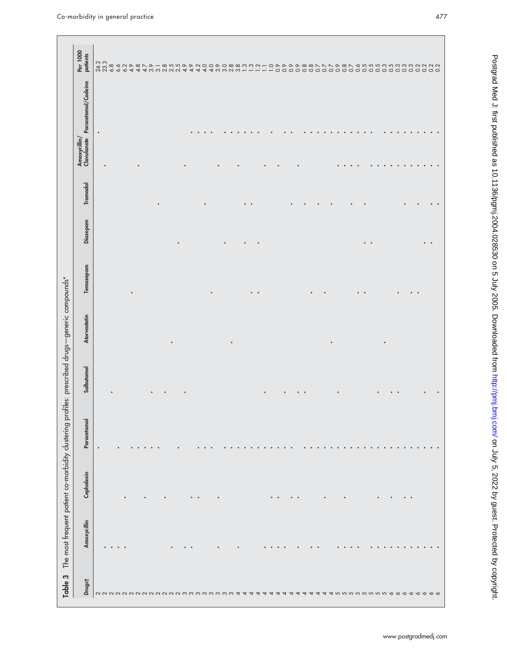| Table 3 | The most frequent patient co-morbidity clustering profiles: prescribed drugs-generic compounds* |            |             |            |              |           |          |          |                             |                     |                                                                                                                |
|---------|-------------------------------------------------------------------------------------------------|------------|-------------|------------|--------------|-----------|----------|----------|-----------------------------|---------------------|----------------------------------------------------------------------------------------------------------------|
| Drugst  | Amoxycillin                                                                                     | Cephalexin | Paracetamol | Salbutamol | Atorvastatin | Temazepam | Diazepam | Tramadol | Amoxycillin/<br>Clavulanate | Paracetamol/Codeine | Per 1000<br>patients                                                                                           |
|         |                                                                                                 |            | $\bullet$   |            |              |           |          |          |                             | $\bullet$           |                                                                                                                |
|         |                                                                                                 |            |             |            |              |           |          |          |                             |                     |                                                                                                                |
|         |                                                                                                 |            |             |            |              |           |          |          |                             |                     |                                                                                                                |
|         |                                                                                                 |            |             |            |              |           |          |          |                             |                     |                                                                                                                |
|         |                                                                                                 |            |             |            |              |           |          |          |                             |                     |                                                                                                                |
|         |                                                                                                 |            |             |            |              |           |          |          |                             |                     |                                                                                                                |
|         |                                                                                                 |            |             |            |              |           |          |          |                             |                     |                                                                                                                |
|         |                                                                                                 |            |             |            |              |           |          |          |                             |                     |                                                                                                                |
|         |                                                                                                 |            |             |            |              |           |          |          |                             |                     |                                                                                                                |
|         |                                                                                                 |            |             |            |              |           |          |          |                             |                     |                                                                                                                |
|         |                                                                                                 |            |             |            |              |           |          |          |                             |                     |                                                                                                                |
|         |                                                                                                 |            |             |            |              |           |          |          |                             |                     |                                                                                                                |
|         |                                                                                                 |            |             |            |              |           |          |          |                             |                     |                                                                                                                |
|         |                                                                                                 |            |             |            |              |           |          |          |                             |                     |                                                                                                                |
|         |                                                                                                 |            |             |            |              |           |          |          |                             |                     |                                                                                                                |
|         |                                                                                                 |            |             |            |              |           |          |          |                             |                     |                                                                                                                |
|         |                                                                                                 |            |             |            |              |           |          |          |                             |                     |                                                                                                                |
|         |                                                                                                 |            |             |            |              |           |          |          |                             |                     |                                                                                                                |
|         |                                                                                                 |            |             |            |              |           |          |          |                             |                     |                                                                                                                |
|         |                                                                                                 |            |             |            |              |           |          |          |                             |                     |                                                                                                                |
|         |                                                                                                 |            |             |            |              |           |          |          |                             |                     |                                                                                                                |
|         |                                                                                                 |            |             |            |              |           |          |          |                             |                     |                                                                                                                |
|         |                                                                                                 |            |             |            |              |           |          |          |                             |                     |                                                                                                                |
|         |                                                                                                 |            |             |            |              |           |          |          |                             |                     |                                                                                                                |
|         |                                                                                                 |            |             |            |              |           |          |          |                             |                     |                                                                                                                |
|         |                                                                                                 |            |             |            |              |           |          |          |                             |                     |                                                                                                                |
|         |                                                                                                 |            |             |            |              |           |          |          |                             |                     |                                                                                                                |
|         |                                                                                                 |            |             |            |              |           |          |          |                             |                     |                                                                                                                |
|         |                                                                                                 |            |             |            |              |           |          |          |                             |                     |                                                                                                                |
|         |                                                                                                 |            |             |            |              |           |          |          |                             |                     |                                                                                                                |
|         |                                                                                                 |            |             |            |              |           |          |          |                             |                     |                                                                                                                |
|         |                                                                                                 |            |             |            |              |           |          |          |                             |                     |                                                                                                                |
|         |                                                                                                 |            |             |            |              |           |          |          |                             |                     |                                                                                                                |
|         |                                                                                                 |            |             |            |              |           |          |          |                             |                     |                                                                                                                |
|         |                                                                                                 |            |             |            |              |           |          |          |                             |                     |                                                                                                                |
|         |                                                                                                 |            |             |            |              |           |          |          |                             |                     |                                                                                                                |
|         |                                                                                                 |            |             |            |              |           | ٠        |          |                             |                     |                                                                                                                |
|         |                                                                                                 |            |             |            |              |           |          |          |                             |                     |                                                                                                                |
|         |                                                                                                 |            |             |            |              |           |          |          |                             |                     |                                                                                                                |
|         |                                                                                                 |            |             |            |              |           |          |          |                             |                     |                                                                                                                |
|         |                                                                                                 |            |             |            |              |           |          |          |                             |                     |                                                                                                                |
|         |                                                                                                 |            |             |            |              |           |          |          |                             |                     |                                                                                                                |
|         |                                                                                                 |            |             |            |              |           |          |          |                             |                     | ススとよるよみようにとえてはようなからのかい。 コレート OOOOOOOOOOOOOOOOOOOOOOOOOOOOOOOO<br>インスタンクタータファータとうやくこのクロススコレーロッククタタタファファタタフィクスター |
|         |                                                                                                 |            |             |            |              |           |          |          |                             |                     |                                                                                                                |
|         |                                                                                                 |            |             |            |              |           |          |          |                             |                     |                                                                                                                |
|         |                                                                                                 |            |             |            |              |           |          |          |                             |                     |                                                                                                                |
|         |                                                                                                 |            |             |            |              |           |          |          |                             |                     |                                                                                                                |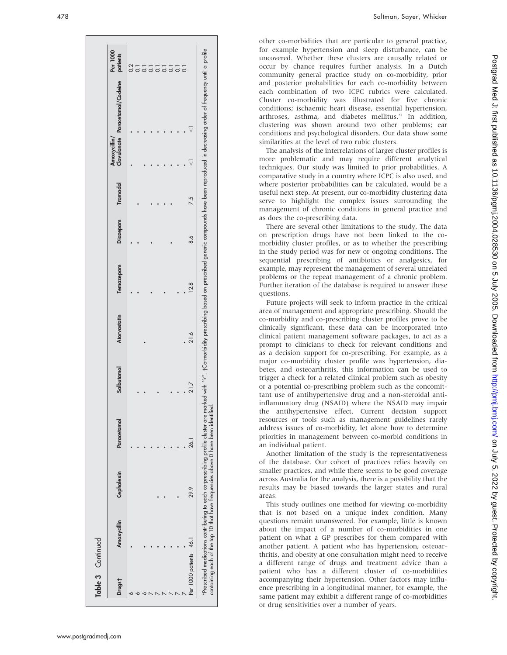| Table 3 Continued      |                                                                                  |            |             |            |              |           |                   |     |             |                                                                                                                                                                                                                               |                  |
|------------------------|----------------------------------------------------------------------------------|------------|-------------|------------|--------------|-----------|-------------------|-----|-------------|-------------------------------------------------------------------------------------------------------------------------------------------------------------------------------------------------------------------------------|------------------|
| Drugs†                 | Amoxycillin                                                                      | Cephalexin | Paracetamol | Salbutamol | Atorvastatin | Temazepam | Diazepam Tramadol |     | Amoxycillin | Clavulanate Paracetamol/Codeine patients                                                                                                                                                                                      | Per 1000         |
|                        |                                                                                  |            |             |            |              |           |                   |     |             |                                                                                                                                                                                                                               | $\overline{0.2}$ |
|                        |                                                                                  |            |             |            |              |           |                   |     |             |                                                                                                                                                                                                                               |                  |
|                        |                                                                                  |            |             |            |              |           |                   |     |             |                                                                                                                                                                                                                               |                  |
|                        |                                                                                  |            |             |            |              |           |                   |     |             |                                                                                                                                                                                                                               |                  |
|                        |                                                                                  |            |             |            |              |           |                   |     |             |                                                                                                                                                                                                                               | $\overline{0}$   |
|                        |                                                                                  |            |             |            |              |           |                   |     |             |                                                                                                                                                                                                                               | $\overline{0}$   |
|                        |                                                                                  |            |             |            |              |           |                   |     |             |                                                                                                                                                                                                                               | $\overline{0}$ . |
|                        |                                                                                  |            |             |            |              |           |                   |     |             |                                                                                                                                                                                                                               | $\overline{0}$ . |
|                        |                                                                                  |            |             |            |              |           |                   |     |             |                                                                                                                                                                                                                               | $\overline{0}$ . |
| Per 1000 patients 46.1 |                                                                                  | 29.9       | 26.1        | 21.7       | 21.6         | 12.8      | 8.6               | 7.5 |             |                                                                                                                                                                                                                               |                  |
|                        | containing each of the top 10 that have frequencies above 0 have been identified |            |             |            |              |           |                   |     |             | Prescribed medications contributing to each co-prescribing profile cluster are marked with "*". +Co-morbidity prescribing based on prescribed generic compounds have been reproduced in decreasing order of frequency until a |                  |

area of management and appropriate prescribing. Should the co-morbidity and co-prescribing cluster profiles prove to be clinically significant, these data can be incorporated into clinical patient management software packages, to act as a prompt to clinicians to check for relevant conditions and as a decision support for co-prescribing. For example, as a major co-morbidity cluster profile was hypertension, diabetes, and osteoarthritis, this information can be used to trigger a check for a related clinical problem such as obesity or a potential co-prescribing problem such as the concomittant use of antihypertensive drug and a non-steroidal anti-

inflammatory drug (NSAID) where the NSAID may impair the antihypertensive effect. Current decision support resources or tools such as management guidelines rarely address issues of co-morbidity, let alone how to determine priorities in management between co-morbid conditions in an individual patient. Another limitation of the study is the representativeness of the database. Our cohort of practices relies heavily on

smaller practices, and while there seems to be good coverage across Australia for the analysis, there is a possibility that the results may be biased towards the larger states and rural areas.

This study outlines one method for viewing co-morbidity that is not based on a unique index condition. Many questions remain unanswered. For example, little is known about the impact of a number of co-morbidities in one patient on what a GP prescribes for them compared with another patient. A patient who has hypertension, osteoarthritis, and obesity at one consultation might need to receive a different range of drugs and treatment advice than a patient who has a different cluster of co-morbidities accompanying their hypertension. Other factors may influence prescribing in a longitudinal manner, for example, the same patient may exhibit a different range of co-morbidities or drug sensitivities over a number of years.

other co-morbidities that are particular to general practice, for example hypertension and sleep disturbance, can be uncovered. Whether these clusters are causally related or occur by chance requires further analysis. In a Dutch community general practice study on co-morbidity, prior and posterior probabilities for each co-morbidity between each combination of two ICPC rubrics were calculated. Cluster co-morbidity was illustrated for five chronic conditions; ischaemic heart disease, essential hypertension, arthroses, asthma, and diabetes mellitus.<sup>22</sup> In addition, clustering was shown around two other problems; ear conditions and psychological disorders. Our data show some

The analysis of the interrelations of larger cluster profiles is more problematic and may require different analytical techniques. Our study was limited to prior probabilities. A comparative study in a country where ICPC is also used, and where posterior probabilities can be calculated, would be a useful next step. At present, our co-morbidity clustering data serve to highlight the complex issues surrounding the management of chronic conditions in general practice and

There are several other limitations to the study. The data on prescription drugs have not been linked to the comorbidity cluster profiles, or as to whether the prescribing in the study period was for new or ongoing conditions. The sequential prescribing of antibiotics or analgesics, for example, may represent the management of several unrelated problems or the repeat management of a chronic problem. Further iteration of the database is required to answer these

Future projects will seek to inform practice in the critical

similarities at the level of two rubic clusters.

as does the co-prescribing data.

questions.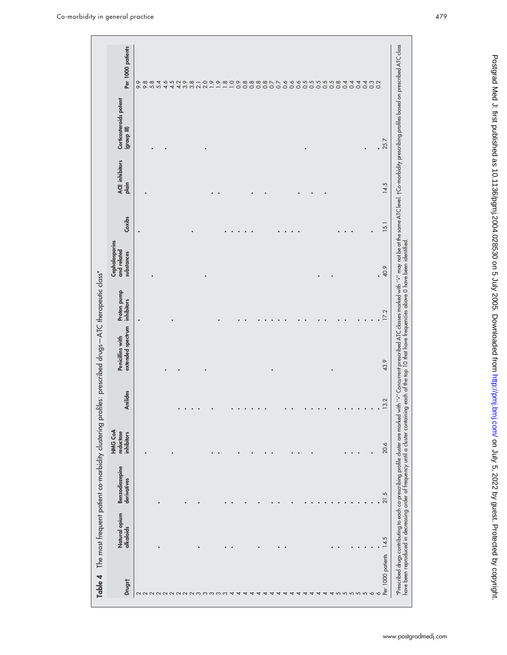| Drugst | Natural opium<br>alkaloids | Benzodiazepine<br>derivatives | HMG CoA<br>reductase<br>inhibitors | Anilides               | extended spectrum<br>Penicillins with | Proton pump<br>inhibitors | Cephalosporins<br>and related<br>substances | Coxibs | ACE inhibitors<br>plain | Corticosteroids potent<br>(III quong) | Per 1000 patients |
|--------|----------------------------|-------------------------------|------------------------------------|------------------------|---------------------------------------|---------------------------|---------------------------------------------|--------|-------------------------|---------------------------------------|-------------------|
|        |                            |                               |                                    |                        |                                       |                           |                                             |        |                         |                                       |                   |
|        |                            |                               |                                    |                        |                                       |                           |                                             |        | ٠                       |                                       |                   |
|        |                            |                               |                                    |                        |                                       |                           |                                             |        |                         |                                       |                   |
|        |                            |                               |                                    |                        |                                       |                           |                                             |        |                         |                                       |                   |
|        |                            |                               |                                    |                        |                                       |                           |                                             |        |                         |                                       |                   |
|        |                            |                               |                                    |                        |                                       |                           |                                             |        |                         |                                       |                   |
|        |                            |                               |                                    |                        |                                       |                           |                                             |        |                         |                                       |                   |
|        |                            |                               |                                    |                        |                                       |                           |                                             |        |                         |                                       |                   |
|        |                            |                               |                                    | $\bullet$<br>$\bullet$ |                                       |                           |                                             |        |                         |                                       |                   |
|        |                            |                               |                                    |                        |                                       |                           |                                             |        |                         |                                       |                   |
|        |                            |                               |                                    |                        |                                       |                           |                                             |        |                         |                                       |                   |
|        |                            |                               | $\bullet$                          |                        |                                       |                           |                                             |        | $\bullet$               |                                       |                   |
|        |                            |                               |                                    |                        |                                       |                           |                                             |        |                         |                                       |                   |
|        | $\bullet$                  |                               |                                    |                        |                                       |                           |                                             |        |                         |                                       |                   |
|        |                            |                               |                                    | $\bullet$              |                                       |                           |                                             |        |                         |                                       |                   |
|        |                            |                               |                                    | $\bullet$              |                                       |                           |                                             |        |                         |                                       |                   |
|        |                            |                               |                                    | $\bullet$              |                                       |                           |                                             |        |                         |                                       |                   |
|        |                            |                               |                                    |                        |                                       |                           |                                             |        |                         |                                       |                   |
|        |                            |                               | $\bullet$                          |                        |                                       |                           |                                             |        |                         |                                       |                   |
|        |                            |                               | $\bullet$                          |                        |                                       |                           |                                             |        |                         |                                       |                   |
|        |                            |                               |                                    |                        |                                       |                           |                                             |        |                         |                                       |                   |
|        | $\bullet$                  |                               |                                    |                        |                                       |                           |                                             |        |                         |                                       |                   |
|        |                            |                               |                                    |                        |                                       |                           |                                             |        |                         |                                       |                   |
|        |                            |                               | $\bullet$                          |                        |                                       |                           |                                             |        |                         |                                       |                   |
|        |                            |                               |                                    |                        |                                       |                           |                                             |        |                         |                                       |                   |
|        |                            |                               |                                    |                        |                                       |                           |                                             |        |                         |                                       |                   |
|        |                            |                               |                                    |                        |                                       |                           |                                             |        |                         |                                       |                   |
|        |                            |                               |                                    |                        |                                       |                           |                                             |        |                         |                                       |                   |
|        |                            |                               |                                    |                        |                                       |                           |                                             |        |                         |                                       |                   |
|        |                            |                               |                                    |                        |                                       |                           |                                             |        |                         |                                       |                   |
|        |                            |                               |                                    | $\bullet$              |                                       |                           |                                             |        |                         |                                       |                   |
|        | $\bullet$                  |                               | $\bullet$ . $\bullet$              | $\bullet$              |                                       |                           |                                             |        |                         |                                       |                   |
|        | $\bullet$                  |                               |                                    | $\bullet$              |                                       |                           |                                             |        |                         | $\bullet$                             |                   |
|        |                            |                               |                                    |                        |                                       |                           |                                             |        |                         |                                       |                   |
|        |                            |                               |                                    |                        |                                       |                           |                                             |        |                         |                                       |                   |
|        | 14.5                       | 21.5                          | 20.6                               | 13.2                   | 43.9                                  | 17.2                      | .99                                         | 15.1   | 14.5                    | .25.7                                 |                   |